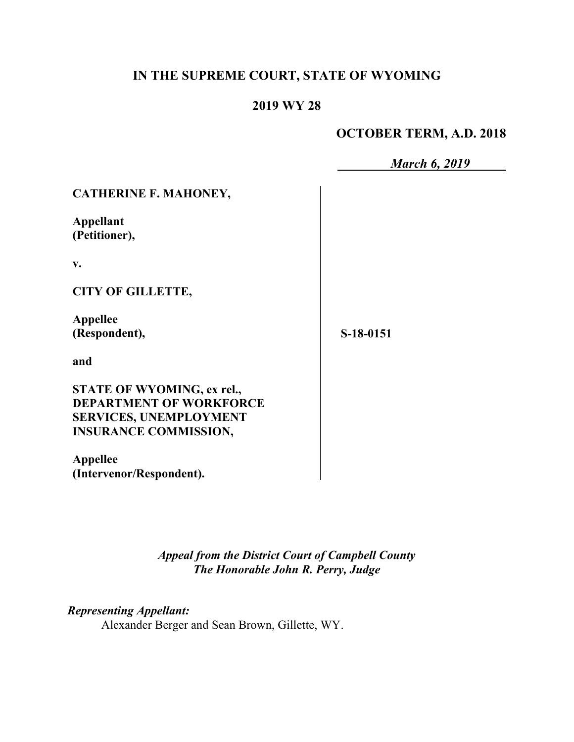# **IN THE SUPREME COURT, STATE OF WYOMING**

# **2019 WY 28**

### **OCTOBER TERM, A.D. 2018**

|                                                                                                                               | <b>March 6, 2019</b> |
|-------------------------------------------------------------------------------------------------------------------------------|----------------------|
| <b>CATHERINE F. MAHONEY,</b>                                                                                                  |                      |
| Appellant<br>(Petitioner),                                                                                                    |                      |
| $V_{\bullet}$                                                                                                                 |                      |
| <b>CITY OF GILLETTE,</b>                                                                                                      |                      |
| Appellee<br>(Respondent),                                                                                                     | S-18-0151            |
| and                                                                                                                           |                      |
| STATE OF WYOMING, ex rel.,<br><b>DEPARTMENT OF WORKFORCE</b><br><b>SERVICES, UNEMPLOYMENT</b><br><b>INSURANCE COMMISSION,</b> |                      |
| <b>Appellee</b><br>(Intervenor/Respondent).                                                                                   |                      |

*Appeal from the District Court of Campbell County The Honorable John R. Perry, Judge*

*Representing Appellant:*

Alexander Berger and Sean Brown, Gillette, WY.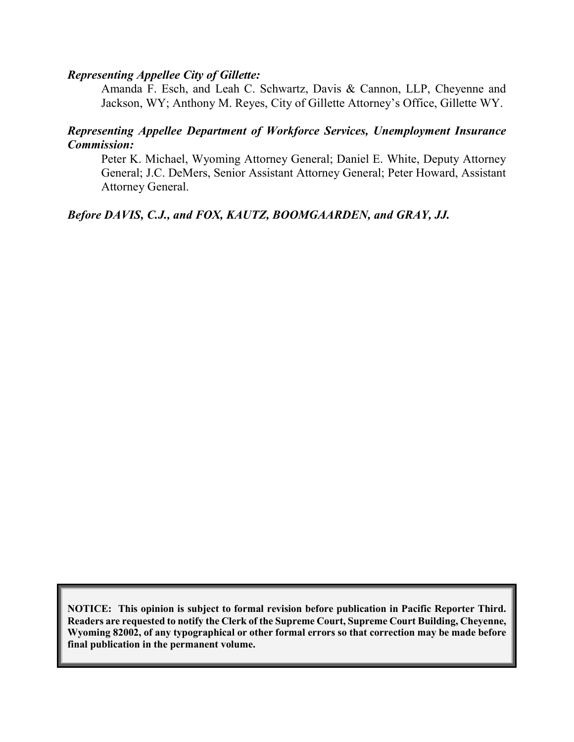#### *Representing Appellee City of Gillette:*

Amanda F. Esch, and Leah C. Schwartz, Davis & Cannon, LLP, Cheyenne and Jackson, WY; Anthony M. Reyes, City of Gillette Attorney's Office, Gillette WY.

### *Representing Appellee Department of Workforce Services, Unemployment Insurance Commission:*

Peter K. Michael, Wyoming Attorney General; Daniel E. White, Deputy Attorney General; J.C. DeMers, Senior Assistant Attorney General; Peter Howard, Assistant Attorney General.

#### *Before DAVIS, C.J., and FOX, KAUTZ, BOOMGAARDEN, and GRAY, JJ.*

**NOTICE: This opinion is subject to formal revision before publication in Pacific Reporter Third. Readers are requested to notify the Clerk of the Supreme Court, Supreme Court Building, Cheyenne, Wyoming 82002, of any typographical or other formal errors so that correction may be made before final publication in the permanent volume.**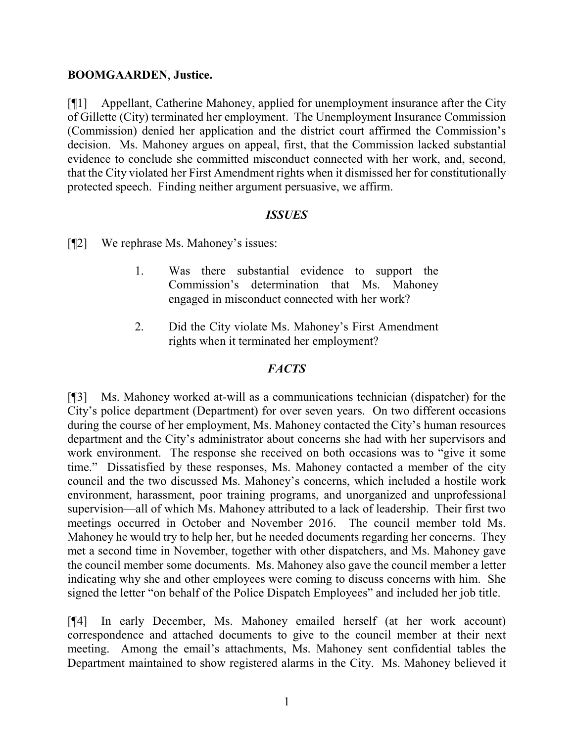#### **BOOMGAARDEN**, **Justice.**

[¶1] Appellant, Catherine Mahoney, applied for unemployment insurance after the City of Gillette (City) terminated her employment. The Unemployment Insurance Commission (Commission) denied her application and the district court affirmed the Commission's decision. Ms. Mahoney argues on appeal, first, that the Commission lacked substantial evidence to conclude she committed misconduct connected with her work, and, second, that the City violated her First Amendment rights when it dismissed her for constitutionally protected speech. Finding neither argument persuasive, we affirm.

#### *ISSUES*

[¶2] We rephrase Ms. Mahoney's issues:

- 1. Was there substantial evidence to support the Commission's determination that Ms. Mahoney engaged in misconduct connected with her work?
- 2. Did the City violate Ms. Mahoney's First Amendment rights when it terminated her employment?

#### *FACTS*

[¶3] Ms. Mahoney worked at-will as a communications technician (dispatcher) for the City's police department (Department) for over seven years. On two different occasions during the course of her employment, Ms. Mahoney contacted the City's human resources department and the City's administrator about concerns she had with her supervisors and work environment. The response she received on both occasions was to "give it some time." Dissatisfied by these responses, Ms. Mahoney contacted a member of the city council and the two discussed Ms. Mahoney's concerns, which included a hostile work environment, harassment, poor training programs, and unorganized and unprofessional supervision—all of which Ms. Mahoney attributed to a lack of leadership. Their first two meetings occurred in October and November 2016. The council member told Ms. Mahoney he would try to help her, but he needed documents regarding her concerns. They met a second time in November, together with other dispatchers, and Ms. Mahoney gave the council member some documents. Ms. Mahoney also gave the council member a letter indicating why she and other employees were coming to discuss concerns with him. She signed the letter "on behalf of the Police Dispatch Employees" and included her job title.

[¶4] In early December, Ms. Mahoney emailed herself (at her work account) correspondence and attached documents to give to the council member at their next meeting. Among the email's attachments, Ms. Mahoney sent confidential tables the Department maintained to show registered alarms in the City. Ms. Mahoney believed it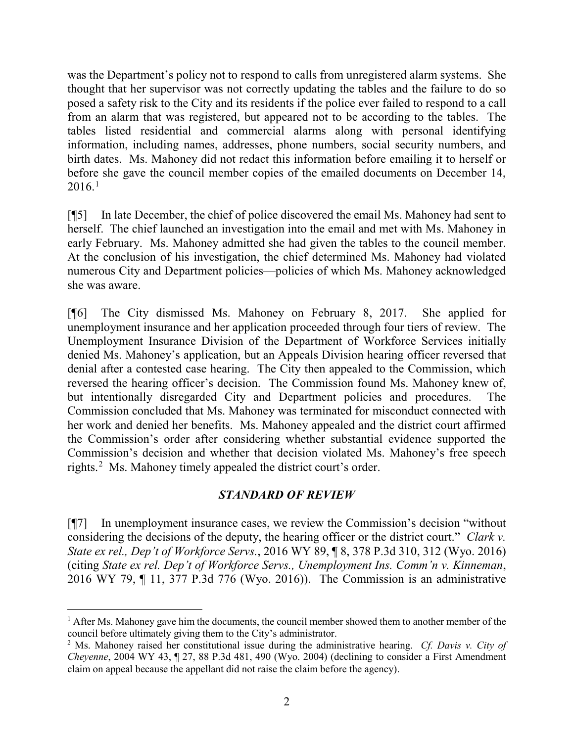was the Department's policy not to respond to calls from unregistered alarm systems. She thought that her supervisor was not correctly updating the tables and the failure to do so posed a safety risk to the City and its residents if the police ever failed to respond to a call from an alarm that was registered, but appeared not to be according to the tables. The tables listed residential and commercial alarms along with personal identifying information, including names, addresses, phone numbers, social security numbers, and birth dates. Ms. Mahoney did not redact this information before emailing it to herself or before she gave the council member copies of the emailed documents on December 14, 2016. [1](#page-3-0)

[¶5] In late December, the chief of police discovered the email Ms. Mahoney had sent to herself. The chief launched an investigation into the email and met with Ms. Mahoney in early February. Ms. Mahoney admitted she had given the tables to the council member. At the conclusion of his investigation, the chief determined Ms. Mahoney had violated numerous City and Department policies—policies of which Ms. Mahoney acknowledged she was aware.

[¶6] The City dismissed Ms. Mahoney on February 8, 2017. She applied for unemployment insurance and her application proceeded through four tiers of review. The Unemployment Insurance Division of the Department of Workforce Services initially denied Ms. Mahoney's application, but an Appeals Division hearing officer reversed that denial after a contested case hearing. The City then appealed to the Commission, which reversed the hearing officer's decision. The Commission found Ms. Mahoney knew of, but intentionally disregarded City and Department policies and procedures. The Commission concluded that Ms. Mahoney was terminated for misconduct connected with her work and denied her benefits. Ms. Mahoney appealed and the district court affirmed the Commission's order after considering whether substantial evidence supported the Commission's decision and whether that decision violated Ms. Mahoney's free speech rights.<sup>[2](#page-3-1)</sup> Ms. Mahoney timely appealed the district court's order.

### *STANDARD OF REVIEW*

[¶7] In unemployment insurance cases, we review the Commission's decision "without considering the decisions of the deputy, the hearing officer or the district court." *Clark v. State ex rel., Dep't of Workforce Servs.*, 2016 WY 89, ¶ 8, 378 P.3d 310, 312 (Wyo. 2016) (citing *State ex rel. Dep't of Workforce Servs., Unemployment Ins. Comm'n v. Kinneman*, 2016 WY 79, ¶ 11, 377 P.3d 776 (Wyo. 2016)). The Commission is an administrative

<span id="page-3-0"></span> $<sup>1</sup>$  After Ms. Mahoney gave him the documents, the council member showed them to another member of the</sup> council before ultimately giving them to the City's administrator.

<span id="page-3-1"></span><sup>2</sup> Ms. Mahoney raised her constitutional issue during the administrative hearing. *Cf. Davis v. City of Cheyenne*, 2004 WY 43, ¶ 27, 88 P.3d 481, 490 (Wyo. 2004) (declining to consider a First Amendment claim on appeal because the appellant did not raise the claim before the agency).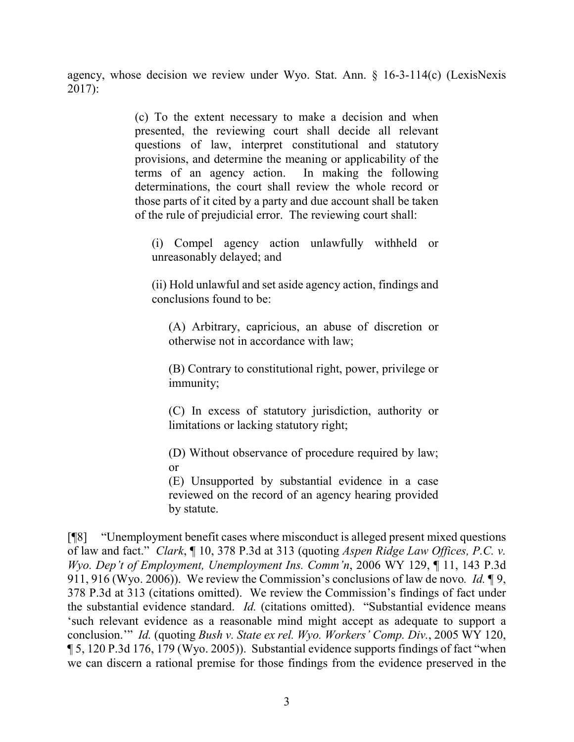agency, whose decision we review under Wyo. Stat. Ann. § 16-3-114(c) (LexisNexis 2017):

> (c) To the extent necessary to make a decision and when presented, the reviewing court shall decide all relevant questions of law, interpret constitutional and statutory provisions, and determine the meaning or applicability of the terms of an agency action. In making the following determinations, the court shall review the whole record or those parts of it cited by a party and due account shall be taken of the rule of prejudicial error. The reviewing court shall:

(i) Compel agency action unlawfully withheld or unreasonably delayed; and

(ii) Hold unlawful and set aside agency action, findings and conclusions found to be:

(A) Arbitrary, capricious, an abuse of discretion or otherwise not in accordance with law;

(B) Contrary to constitutional right, power, privilege or immunity;

(C) In excess of statutory jurisdiction, authority or limitations or lacking statutory right;

(D) Without observance of procedure required by law; or

(E) Unsupported by substantial evidence in a case reviewed on the record of an agency hearing provided by statute.

[¶8] "Unemployment benefit cases where misconduct is alleged present mixed questions of law and fact." *Clark*, ¶ 10, 378 P.3d at 313 (quoting *Aspen Ridge Law Offices, P.C. v. Wyo. Dep't of Employment, Unemployment Ins. Comm'n*, 2006 WY 129, ¶ 11, 143 P.3d 911, 916 (Wyo. 2006)). We review the Commission's conclusions of law de novo*. Id.* ¶ 9, 378 P.3d at 313 (citations omitted). We review the Commission's findings of fact under the substantial evidence standard. *Id.* (citations omitted). "Substantial evidence means 'such relevant evidence as a reasonable mind might accept as adequate to support a conclusion.'" *Id.* (quoting *Bush v. State ex rel. Wyo. Workers' Comp. Div.*, 2005 WY 120, ¶ 5, 120 P.3d 176, 179 (Wyo. 2005)). Substantial evidence supports findings of fact "when we can discern a rational premise for those findings from the evidence preserved in the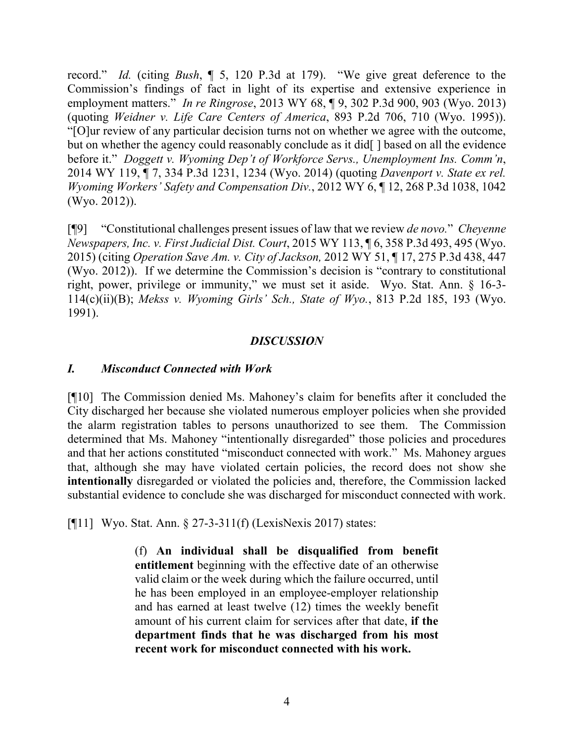record." *Id.* (citing *Bush*, ¶ 5, 120 P.3d at 179). "We give great deference to the Commission's findings of fact in light of its expertise and extensive experience in employment matters." *In re Ringrose*, 2013 WY 68, ¶ 9, 302 P.3d 900, 903 (Wyo. 2013) (quoting *Weidner v. Life Care Centers of America*, 893 P.2d 706, 710 (Wyo. 1995)). "[O]ur review of any particular decision turns not on whether we agree with the outcome, but on whether the agency could reasonably conclude as it did[] based on all the evidence before it." *Doggett v. Wyoming Dep't of Workforce Servs., Unemployment Ins. Comm'n*, 2014 WY 119, ¶ 7, 334 P.3d 1231, 1234 (Wyo. 2014) (quoting *Davenport v. State ex rel. Wyoming Workers' Safety and Compensation Div.*, 2012 WY 6, ¶ 12, 268 P.3d 1038, 1042 (Wyo. 2012)).

[¶9] "Constitutional challenges present issues of law that we review *de novo.*" *Cheyenne Newspapers, Inc. v. First Judicial Dist. Court*, 2015 WY 113, ¶ 6, 358 P.3d 493, 495 (Wyo. 2015) (citing *Operation Save Am. v. City of Jackson,* 2012 WY 51, ¶ 17, 275 P.3d 438, 447 (Wyo. 2012)). If we determine the Commission's decision is "contrary to constitutional right, power, privilege or immunity," we must set it aside. Wyo. Stat. Ann. § 16-3- 114(c)(ii)(B); *Mekss v. Wyoming Girls' Sch., State of Wyo.*, 813 P.2d 185, 193 (Wyo. 1991).

#### *DISCUSSION*

#### *I. Misconduct Connected with Work*

[¶10] The Commission denied Ms. Mahoney's claim for benefits after it concluded the City discharged her because she violated numerous employer policies when she provided the alarm registration tables to persons unauthorized to see them. The Commission determined that Ms. Mahoney "intentionally disregarded" those policies and procedures and that her actions constituted "misconduct connected with work." Ms. Mahoney argues that, although she may have violated certain policies, the record does not show she **intentionally** disregarded or violated the policies and, therefore, the Commission lacked substantial evidence to conclude she was discharged for misconduct connected with work.

[¶11] Wyo. Stat. Ann. § 27-3-311(f) (LexisNexis 2017) states:

(f) **An individual shall be disqualified from benefit entitlement** beginning with the effective date of an otherwise valid claim or the week during which the failure occurred, until he has been employed in an employee-employer relationship and has earned at least twelve (12) times the weekly benefit amount of his current claim for services after that date, **if the department finds that he was discharged from his most recent work for misconduct connected with his work.**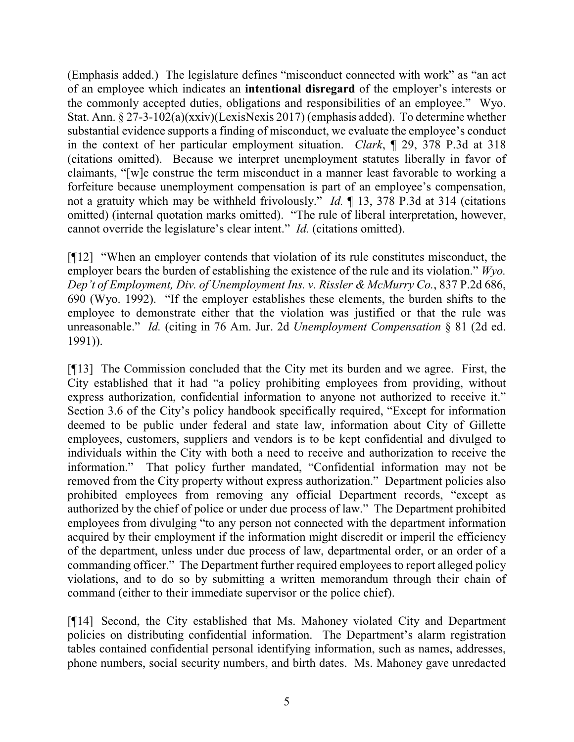(Emphasis added.) The legislature defines "misconduct connected with work" as "an act of an employee which indicates an **intentional disregard** of the employer's interests or the commonly accepted duties, obligations and responsibilities of an employee." Wyo. Stat. Ann. § 27-3-102(a)(xxiv)(LexisNexis 2017) (emphasis added). To determine whether substantial evidence supports a finding of misconduct, we evaluate the employee's conduct in the context of her particular employment situation. *Clark*, ¶ 29, 378 P.3d at 318 (citations omitted). Because we interpret unemployment statutes liberally in favor of claimants, "[w]e construe the term misconduct in a manner least favorable to working a forfeiture because unemployment compensation is part of an employee's compensation, not a gratuity which may be withheld frivolously." *Id.* ¶ 13, 378 P.3d at 314 (citations omitted) (internal quotation marks omitted). "The rule of liberal interpretation, however, cannot override the legislature's clear intent." *Id.* (citations omitted).

[¶12] "When an employer contends that violation of its rule constitutes misconduct, the employer bears the burden of establishing the existence of the rule and its violation." *Wyo. Dep't of Employment, Div. of Unemployment Ins. v. Rissler & McMurry Co.*, 837 P.2d 686, 690 (Wyo. 1992). "If the employer establishes these elements, the burden shifts to the employee to demonstrate either that the violation was justified or that the rule was unreasonable." *Id.* (citing in 76 Am. Jur. 2d *Unemployment Compensation* § 81 (2d ed. 1991)).

[¶13] The Commission concluded that the City met its burden and we agree. First, the City established that it had "a policy prohibiting employees from providing, without express authorization, confidential information to anyone not authorized to receive it." Section 3.6 of the City's policy handbook specifically required, "Except for information deemed to be public under federal and state law, information about City of Gillette employees, customers, suppliers and vendors is to be kept confidential and divulged to individuals within the City with both a need to receive and authorization to receive the information." That policy further mandated, "Confidential information may not be removed from the City property without express authorization." Department policies also prohibited employees from removing any official Department records, "except as authorized by the chief of police or under due process of law." The Department prohibited employees from divulging "to any person not connected with the department information acquired by their employment if the information might discredit or imperil the efficiency of the department, unless under due process of law, departmental order, or an order of a commanding officer." The Department further required employees to report alleged policy violations, and to do so by submitting a written memorandum through their chain of command (either to their immediate supervisor or the police chief).

[¶14] Second, the City established that Ms. Mahoney violated City and Department policies on distributing confidential information. The Department's alarm registration tables contained confidential personal identifying information, such as names, addresses, phone numbers, social security numbers, and birth dates. Ms. Mahoney gave unredacted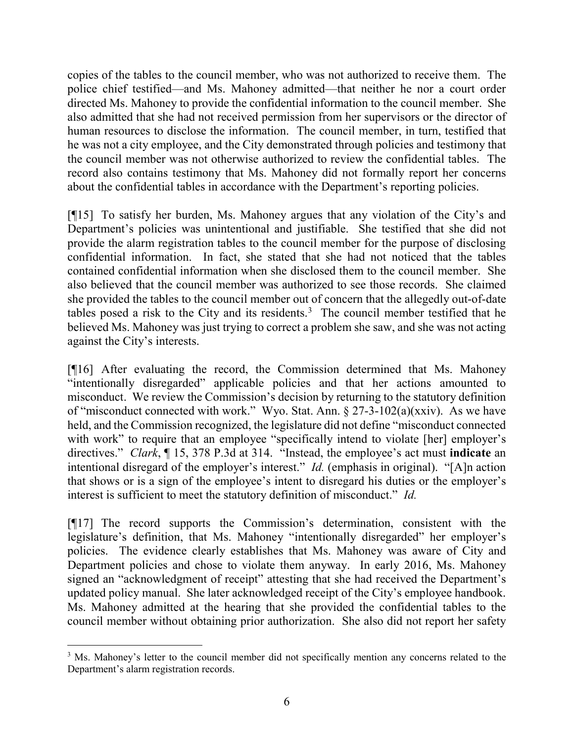copies of the tables to the council member, who was not authorized to receive them. The police chief testified—and Ms. Mahoney admitted—that neither he nor a court order directed Ms. Mahoney to provide the confidential information to the council member. She also admitted that she had not received permission from her supervisors or the director of human resources to disclose the information. The council member, in turn, testified that he was not a city employee, and the City demonstrated through policies and testimony that the council member was not otherwise authorized to review the confidential tables. The record also contains testimony that Ms. Mahoney did not formally report her concerns about the confidential tables in accordance with the Department's reporting policies.

[¶15] To satisfy her burden, Ms. Mahoney argues that any violation of the City's and Department's policies was unintentional and justifiable. She testified that she did not provide the alarm registration tables to the council member for the purpose of disclosing confidential information. In fact, she stated that she had not noticed that the tables contained confidential information when she disclosed them to the council member. She also believed that the council member was authorized to see those records. She claimed she provided the tables to the council member out of concern that the allegedly out-of-date tables posed a risk to the City and its residents.<sup>[3](#page-7-0)</sup> The council member testified that he believed Ms. Mahoney was just trying to correct a problem she saw, and she was not acting against the City's interests.

[¶16] After evaluating the record, the Commission determined that Ms. Mahoney "intentionally disregarded" applicable policies and that her actions amounted to misconduct. We review the Commission's decision by returning to the statutory definition of "misconduct connected with work." Wyo. Stat. Ann. § 27-3-102(a)(xxiv). As we have held, and the Commission recognized, the legislature did not define "misconduct connected with work" to require that an employee "specifically intend to violate [her] employer's directives." *Clark*, ¶ 15, 378 P.3d at 314. "Instead, the employee's act must **indicate** an intentional disregard of the employer's interest." *Id.* (emphasis in original). "[A]n action that shows or is a sign of the employee's intent to disregard his duties or the employer's interest is sufficient to meet the statutory definition of misconduct." *Id.*

[¶17] The record supports the Commission's determination, consistent with the legislature's definition, that Ms. Mahoney "intentionally disregarded" her employer's policies. The evidence clearly establishes that Ms. Mahoney was aware of City and Department policies and chose to violate them anyway. In early 2016, Ms. Mahoney signed an "acknowledgment of receipt" attesting that she had received the Department's updated policy manual. She later acknowledged receipt of the City's employee handbook. Ms. Mahoney admitted at the hearing that she provided the confidential tables to the council member without obtaining prior authorization. She also did not report her safety

<span id="page-7-0"></span><sup>&</sup>lt;sup>3</sup> Ms. Mahoney's letter to the council member did not specifically mention any concerns related to the Department's alarm registration records.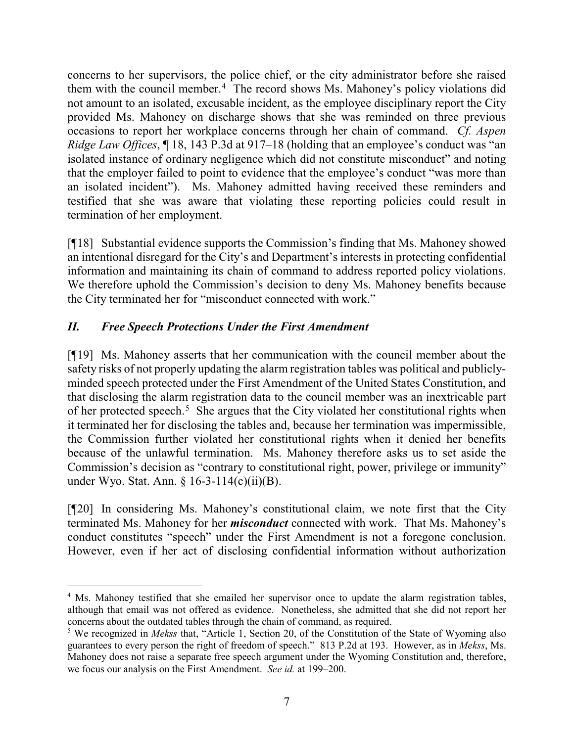concerns to her supervisors, the police chief, or the city administrator before she raised them with the council member.<sup>[4](#page-8-0)</sup> The record shows Ms. Mahoney's policy violations did not amount to an isolated, excusable incident, as the employee disciplinary report the City provided Ms. Mahoney on discharge shows that she was reminded on three previous occasions to report her workplace concerns through her chain of command. *Cf. Aspen Ridge Law Offices*, ¶ 18, 143 P.3d at 917–18 (holding that an employee's conduct was "an isolated instance of ordinary negligence which did not constitute misconduct" and noting that the employer failed to point to evidence that the employee's conduct "was more than an isolated incident"). Ms. Mahoney admitted having received these reminders and testified that she was aware that violating these reporting policies could result in termination of her employment.

[¶18] Substantial evidence supports the Commission's finding that Ms. Mahoney showed an intentional disregard for the City's and Department's interests in protecting confidential information and maintaining its chain of command to address reported policy violations. We therefore uphold the Commission's decision to deny Ms. Mahoney benefits because the City terminated her for "misconduct connected with work."

# *II. Free Speech Protections Under the First Amendment*

[¶19] Ms. Mahoney asserts that her communication with the council member about the safety risks of not properly updating the alarm registration tables was political and publiclyminded speech protected under the First Amendment of the United States Constitution, and that disclosing the alarm registration data to the council member was an inextricable part of her protected speech.<sup>[5](#page-8-1)</sup> She argues that the City violated her constitutional rights when it terminated her for disclosing the tables and, because her termination was impermissible, the Commission further violated her constitutional rights when it denied her benefits because of the unlawful termination. Ms. Mahoney therefore asks us to set aside the Commission's decision as "contrary to constitutional right, power, privilege or immunity" under Wyo. Stat. Ann. § 16-3-114(c)(ii)(B).

[¶20] In considering Ms. Mahoney's constitutional claim, we note first that the City terminated Ms. Mahoney for her *misconduct* connected with work. That Ms. Mahoney's conduct constitutes "speech" under the First Amendment is not a foregone conclusion. However, even if her act of disclosing confidential information without authorization

<span id="page-8-0"></span><sup>&</sup>lt;sup>4</sup> Ms. Mahoney testified that she emailed her supervisor once to update the alarm registration tables, although that email was not offered as evidence. Nonetheless, she admitted that she did not report her concerns about the outdated tables through the chain of command, as required.

<span id="page-8-1"></span><sup>5</sup> We recognized in *Mekss* that, "Article 1, Section 20, of the Constitution of the State of Wyoming also guarantees to every person the right of freedom of speech." 813 P.2d at 193. However, as in *Mekss*, Ms. Mahoney does not raise a separate free speech argument under the Wyoming Constitution and, therefore, we focus our analysis on the First Amendment. *See id.* at 199–200.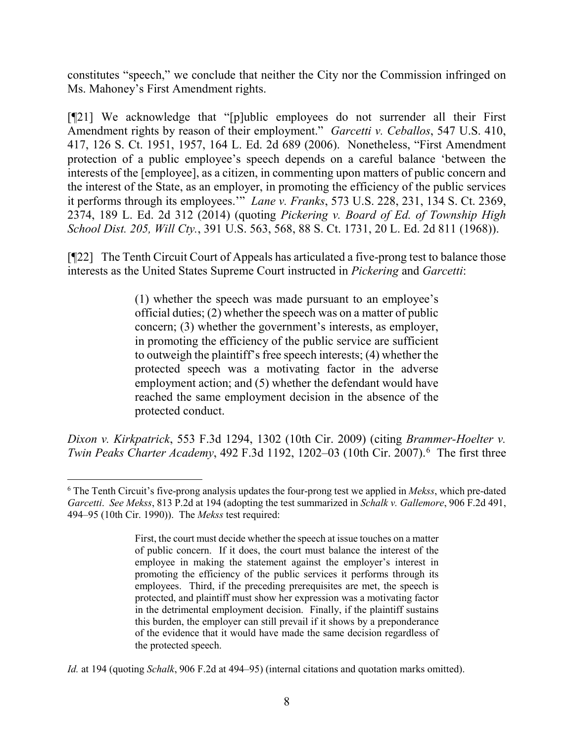constitutes "speech," we conclude that neither the City nor the Commission infringed on Ms. Mahoney's First Amendment rights.

[¶21] We acknowledge that "[p]ublic employees do not surrender all their First Amendment rights by reason of their employment." *Garcetti v. Ceballos*, 547 U.S. 410, 417, 126 S. Ct. 1951, 1957, 164 L. Ed. 2d 689 (2006). Nonetheless, "First Amendment protection of a public employee's speech depends on a careful balance 'between the interests of the [employee], as a citizen, in commenting upon matters of public concern and the interest of the State, as an employer, in promoting the efficiency of the public services it performs through its employees.'" *Lane v. Franks*, 573 U.S. 228, 231, 134 S. Ct. 2369, 2374, 189 L. Ed. 2d 312 (2014) (quoting *Pickering v. Board of Ed. of Township High School Dist. 205, Will Cty.*, 391 U.S. 563, 568, 88 S. Ct. 1731, 20 L. Ed. 2d 811 (1968)).

[¶22] The Tenth Circuit Court of Appeals has articulated a five-prong test to balance those interests as the United States Supreme Court instructed in *Pickering* and *Garcetti*:

> (1) whether the speech was made pursuant to an employee's official duties; (2) whether the speech was on a matter of public concern; (3) whether the government's interests, as employer, in promoting the efficiency of the public service are sufficient to outweigh the plaintiff's free speech interests; (4) whether the protected speech was a motivating factor in the adverse employment action; and (5) whether the defendant would have reached the same employment decision in the absence of the protected conduct.

*Dixon v. Kirkpatrick*, 553 F.3d 1294, 1302 (10th Cir. 2009) (citing *Brammer-Hoelter v. Twin Peaks Charter Academy*, 492 F.3d 1192, 1202–03 (10th Cir. 2007). [6](#page-9-0) The first three

<span id="page-9-0"></span> <sup>6</sup> The Tenth Circuit's five-prong analysis updates the four-prong test we applied in *Mekss*, which pre-dated *Garcetti*. *See Mekss*, 813 P.2d at 194 (adopting the test summarized in *Schalk v. Gallemore*, 906 F.2d 491, 494–95 (10th Cir. 1990)). The *Mekss* test required:

First, the court must decide whether the speech at issue touches on a matter of public concern. If it does, the court must balance the interest of the employee in making the statement against the employer's interest in promoting the efficiency of the public services it performs through its employees. Third, if the preceding prerequisites are met, the speech is protected, and plaintiff must show her expression was a motivating factor in the detrimental employment decision. Finally, if the plaintiff sustains this burden, the employer can still prevail if it shows by a preponderance of the evidence that it would have made the same decision regardless of the protected speech.

*Id.* at 194 (quoting *Schalk*, 906 F.2d at 494–95) (internal citations and quotation marks omitted).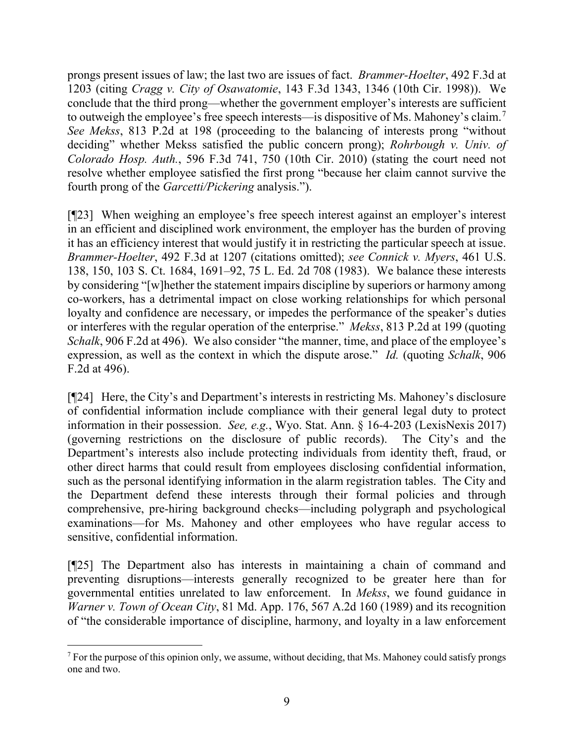prongs present issues of law; the last two are issues of fact. *Brammer-Hoelter*, 492 F.3d at 1203 (citing *Cragg v. City of Osawatomie*, 143 F.3d 1343, 1346 (10th Cir. 1998)). We conclude that the third prong—whether the government employer's interests are sufficient to outweigh the employee's free speech interests—is dispositive of Ms. Mahoney's claim.[7](#page-10-0) *See Mekss*, 813 P.2d at 198 (proceeding to the balancing of interests prong "without deciding" whether Mekss satisfied the public concern prong); *Rohrbough v. Univ. of Colorado Hosp. Auth.*, 596 F.3d 741, 750 (10th Cir. 2010) (stating the court need not resolve whether employee satisfied the first prong "because her claim cannot survive the fourth prong of the *Garcetti/Pickering* analysis.").

[¶23] When weighing an employee's free speech interest against an employer's interest in an efficient and disciplined work environment, the employer has the burden of proving it has an efficiency interest that would justify it in restricting the particular speech at issue. *Brammer-Hoelter*, 492 F.3d at 1207 (citations omitted); *see Connick v. Myers*, 461 U.S. 138, 150, 103 S. Ct. 1684, 1691–92, 75 L. Ed. 2d 708 (1983). We balance these interests by considering "[w]hether the statement impairs discipline by superiors or harmony among co-workers, has a detrimental impact on close working relationships for which personal loyalty and confidence are necessary, or impedes the performance of the speaker's duties or interferes with the regular operation of the enterprise." *Mekss*, 813 P.2d at 199 (quoting *Schalk*, 906 F.2d at 496). We also consider "the manner, time, and place of the employee's expression, as well as the context in which the dispute arose." *Id.* (quoting *Schalk*, 906 F.2d at 496).

[¶24] Here, the City's and Department's interests in restricting Ms. Mahoney's disclosure of confidential information include compliance with their general legal duty to protect information in their possession. *See, e.g.*, Wyo. Stat. Ann. § 16-4-203 (LexisNexis 2017) (governing restrictions on the disclosure of public records). The City's and the Department's interests also include protecting individuals from identity theft, fraud, or other direct harms that could result from employees disclosing confidential information, such as the personal identifying information in the alarm registration tables. The City and the Department defend these interests through their formal policies and through comprehensive, pre-hiring background checks—including polygraph and psychological examinations—for Ms. Mahoney and other employees who have regular access to sensitive, confidential information.

[¶25] The Department also has interests in maintaining a chain of command and preventing disruptions—interests generally recognized to be greater here than for governmental entities unrelated to law enforcement. In *Mekss*, we found guidance in *Warner v. Town of Ocean City*, 81 Md. App. 176, 567 A.2d 160 (1989) and its recognition of "the considerable importance of discipline, harmony, and loyalty in a law enforcement

<span id="page-10-0"></span> $<sup>7</sup>$  For the purpose of this opinion only, we assume, without deciding, that Ms. Mahoney could satisfy prongs</sup> one and two.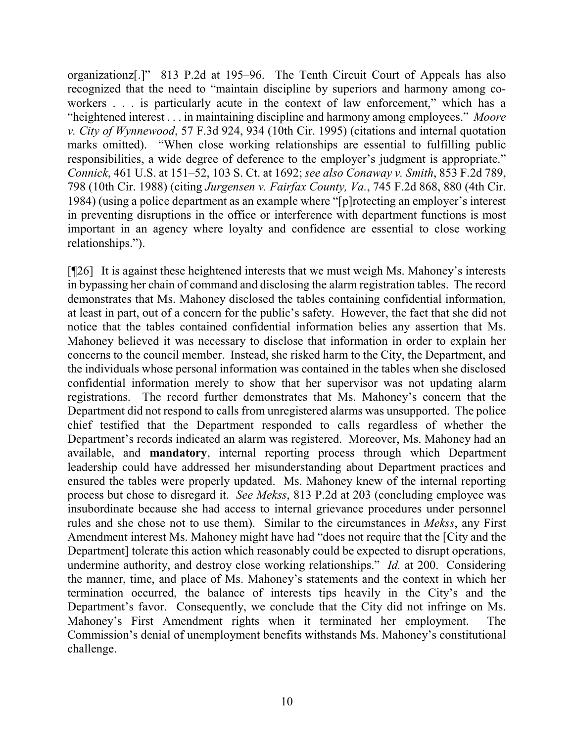organizationz[.]" 813 P.2d at 195–96. The Tenth Circuit Court of Appeals has also recognized that the need to "maintain discipline by superiors and harmony among coworkers . . . is particularly acute in the context of law enforcement," which has a "heightened interest . . . in maintaining discipline and harmony among employees." *Moore v. City of Wynnewood*, 57 F.3d 924, 934 (10th Cir. 1995) (citations and internal quotation marks omitted). "When close working relationships are essential to fulfilling public responsibilities, a wide degree of deference to the employer's judgment is appropriate." *Connick*, 461 U.S. at 151–52, 103 S. Ct. at 1692; *see also Conaway v. Smith*, 853 F.2d 789, 798 (10th Cir. 1988) (citing *Jurgensen v. Fairfax County, Va.*, 745 F.2d 868, 880 (4th Cir. 1984) (using a police department as an example where "[p]rotecting an employer's interest in preventing disruptions in the office or interference with department functions is most important in an agency where loyalty and confidence are essential to close working relationships.").

[¶26] It is against these heightened interests that we must weigh Ms. Mahoney's interests in bypassing her chain of command and disclosing the alarm registration tables. The record demonstrates that Ms. Mahoney disclosed the tables containing confidential information, at least in part, out of a concern for the public's safety. However, the fact that she did not notice that the tables contained confidential information belies any assertion that Ms. Mahoney believed it was necessary to disclose that information in order to explain her concerns to the council member. Instead, she risked harm to the City, the Department, and the individuals whose personal information was contained in the tables when she disclosed confidential information merely to show that her supervisor was not updating alarm registrations. The record further demonstrates that Ms. Mahoney's concern that the Department did not respond to calls from unregistered alarms was unsupported. The police chief testified that the Department responded to calls regardless of whether the Department's records indicated an alarm was registered. Moreover, Ms. Mahoney had an available, and **mandatory**, internal reporting process through which Department leadership could have addressed her misunderstanding about Department practices and ensured the tables were properly updated. Ms. Mahoney knew of the internal reporting process but chose to disregard it. *See Mekss*, 813 P.2d at 203 (concluding employee was insubordinate because she had access to internal grievance procedures under personnel rules and she chose not to use them). Similar to the circumstances in *Mekss*, any First Amendment interest Ms. Mahoney might have had "does not require that the [City and the Department] tolerate this action which reasonably could be expected to disrupt operations, undermine authority, and destroy close working relationships." *Id.* at 200. Considering the manner, time, and place of Ms. Mahoney's statements and the context in which her termination occurred, the balance of interests tips heavily in the City's and the Department's favor. Consequently, we conclude that the City did not infringe on Ms. Mahoney's First Amendment rights when it terminated her employment. The Commission's denial of unemployment benefits withstands Ms. Mahoney's constitutional challenge.